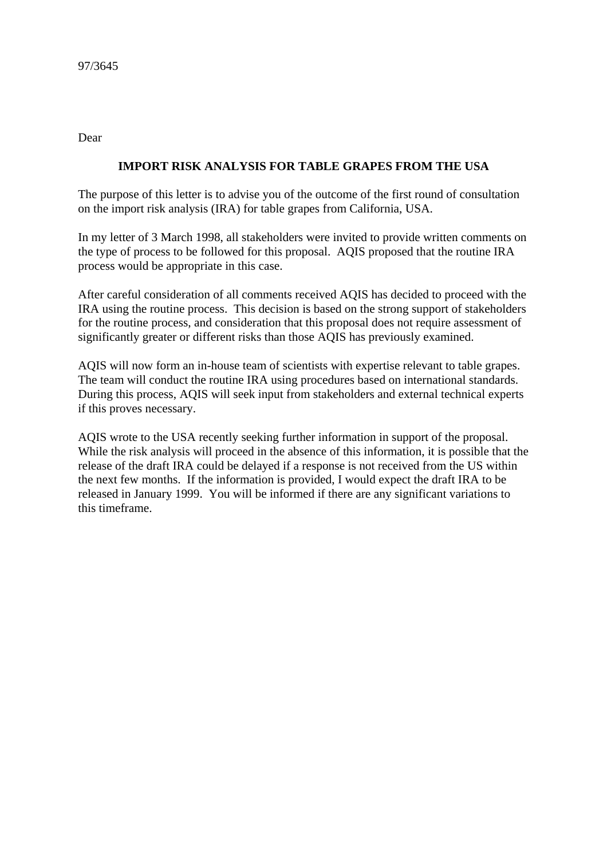Dear

## **IMPORT RISK ANALYSIS FOR TABLE GRAPES FROM THE USA**

The purpose of this letter is to advise you of the outcome of the first round of consultation on the import risk analysis (IRA) for table grapes from California, USA.

In my letter of 3 March 1998, all stakeholders were invited to provide written comments on the type of process to be followed for this proposal. AQIS proposed that the routine IRA process would be appropriate in this case.

After careful consideration of all comments received AQIS has decided to proceed with the IRA using the routine process. This decision is based on the strong support of stakeholders for the routine process, and consideration that this proposal does not require assessment of significantly greater or different risks than those AQIS has previously examined.

AQIS will now form an in-house team of scientists with expertise relevant to table grapes. The team will conduct the routine IRA using procedures based on international standards. During this process, AQIS will seek input from stakeholders and external technical experts if this proves necessary.

AQIS wrote to the USA recently seeking further information in support of the proposal. While the risk analysis will proceed in the absence of this information, it is possible that the release of the draft IRA could be delayed if a response is not received from the US within the next few months. If the information is provided, I would expect the draft IRA to be released in January 1999. You will be informed if there are any significant variations to this timeframe.